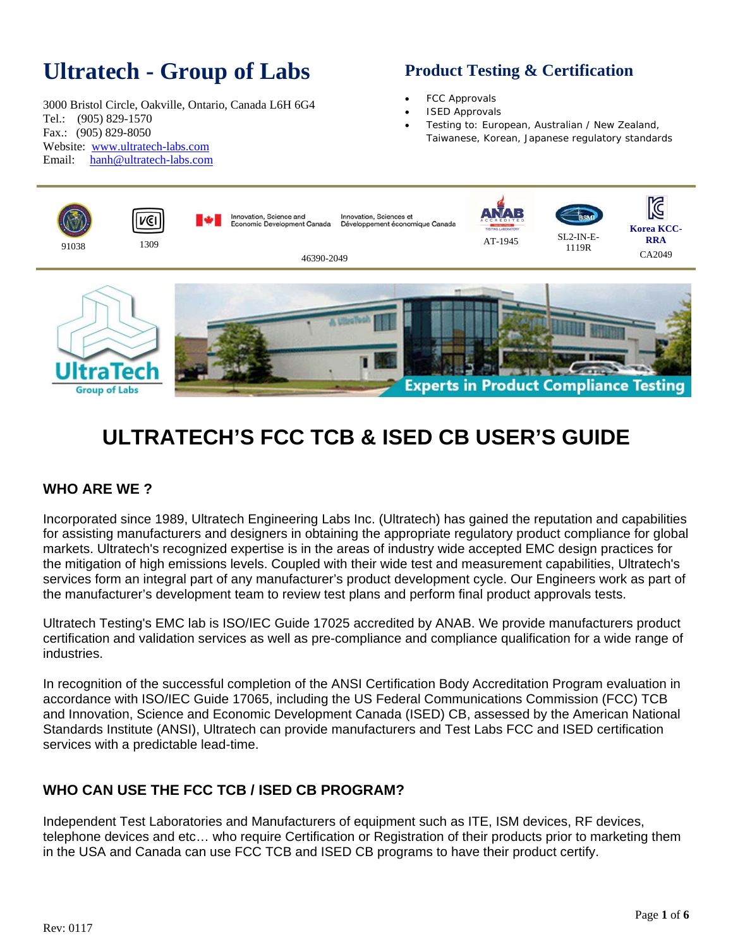# **Ultratech - Group of Labs**

3000 Bristol Circle, Oakville, Ontario, Canada L6H 6G4 Tel.: (905) 829-1570 Fax.: (905) 829-8050 Website: www.ultratech-labs.com Email: hanh@ultratech-labs.com

## **Product Testing & Certification**

- FCC Approvals
- ISED Approvals
- Testing to: European, Australian / New Zealand, Taiwanese, Korean, Japanese regulatory standards



# **ULTRATECH'S FCC TCB & ISED CB USER'S GUIDE**

#### **WHO ARE WE ?**

Incorporated since 1989, Ultratech Engineering Labs Inc. (Ultratech) has gained the reputation and capabilities for assisting manufacturers and designers in obtaining the appropriate regulatory product compliance for global markets. Ultratech's recognized expertise is in the areas of industry wide accepted EMC design practices for the mitigation of high emissions levels. Coupled with their wide test and measurement capabilities, Ultratech's services form an integral part of any manufacturer's product development cycle. Our Engineers work as part of the manufacturer's development team to review test plans and perform final product approvals tests.

Ultratech Testing's EMC lab is ISO/IEC Guide 17025 accredited by ANAB. We provide manufacturers product certification and validation services as well as pre-compliance and compliance qualification for a wide range of industries.

In recognition of the successful completion of the ANSI Certification Body Accreditation Program evaluation in accordance with ISO/IEC Guide 17065, including the US Federal Communications Commission (FCC) TCB and Innovation, Science and Economic Development Canada (ISED) CB, assessed by the American National Standards Institute (ANSI), Ultratech can provide manufacturers and Test Labs FCC and ISED certification services with a predictable lead-time.

#### **WHO CAN USE THE FCC TCB / ISED CB PROGRAM?**

Independent Test Laboratories and Manufacturers of equipment such as ITE, ISM devices, RF devices, telephone devices and etc… who require Certification or Registration of their products prior to marketing them in the USA and Canada can use FCC TCB and ISED CB programs to have their product certify.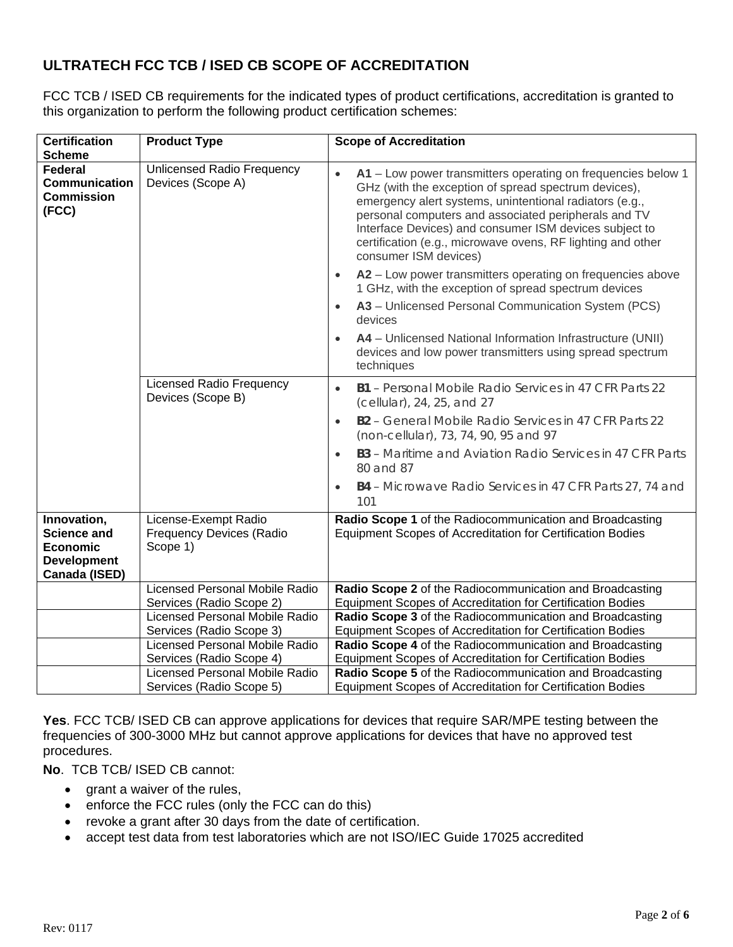### **ULTRATECH FCC TCB / ISED CB SCOPE OF ACCREDITATION**

FCC TCB / ISED CB requirements for the indicated types of product certifications, accreditation is granted to this organization to perform the following product certification schemes:

|                                                              | <b>Scope of Accreditation</b>                                                                                                                                                                                                                                                                                                                                                             |  |
|--------------------------------------------------------------|-------------------------------------------------------------------------------------------------------------------------------------------------------------------------------------------------------------------------------------------------------------------------------------------------------------------------------------------------------------------------------------------|--|
|                                                              |                                                                                                                                                                                                                                                                                                                                                                                           |  |
| Unlicensed Radio Frequency<br>Devices (Scope A)              | A1 - Low power transmitters operating on frequencies below 1<br>GHz (with the exception of spread spectrum devices),<br>emergency alert systems, unintentional radiators (e.g.,<br>personal computers and associated peripherals and TV<br>Interface Devices) and consumer ISM devices subject to<br>certification (e.g., microwave ovens, RF lighting and other<br>consumer ISM devices) |  |
|                                                              | A2 - Low power transmitters operating on frequencies above<br>$\bullet$<br>1 GHz, with the exception of spread spectrum devices                                                                                                                                                                                                                                                           |  |
|                                                              | A3 - Unlicensed Personal Communication System (PCS)<br>$\bullet$<br>devices                                                                                                                                                                                                                                                                                                               |  |
|                                                              | A4 - Unlicensed National Information Infrastructure (UNII)<br>devices and low power transmitters using spread spectrum<br>techniques                                                                                                                                                                                                                                                      |  |
| Devices (Scope B)                                            | <b>B1</b> - Personal Mobile Radio Services in 47 CFR Parts 22<br>$\bullet$<br>(cellular), 24, 25, and 27                                                                                                                                                                                                                                                                                  |  |
|                                                              | B2 - General Mobile Radio Services in 47 CFR Parts 22<br>$\bullet$<br>(non-cellular), 73, 74, 90, 95 and 97                                                                                                                                                                                                                                                                               |  |
|                                                              | <b>B3</b> - Maritime and Aviation Radio Services in 47 CFR Parts<br>80 and 87                                                                                                                                                                                                                                                                                                             |  |
|                                                              | B4 - Microwave Radio Services in 47 CFR Parts 27, 74 and<br>$\bullet$<br>101                                                                                                                                                                                                                                                                                                              |  |
| License-Exempt Radio<br>Frequency Devices (Radio<br>Scope 1) | Radio Scope 1 of the Radiocommunication and Broadcasting<br>Equipment Scopes of Accreditation for Certification Bodies                                                                                                                                                                                                                                                                    |  |
| <b>Licensed Personal Mobile Radio</b>                        | Radio Scope 2 of the Radiocommunication and Broadcasting                                                                                                                                                                                                                                                                                                                                  |  |
| Services (Radio Scope 2)                                     | Equipment Scopes of Accreditation for Certification Bodies                                                                                                                                                                                                                                                                                                                                |  |
|                                                              | Radio Scope 3 of the Radiocommunication and Broadcasting                                                                                                                                                                                                                                                                                                                                  |  |
|                                                              | Equipment Scopes of Accreditation for Certification Bodies                                                                                                                                                                                                                                                                                                                                |  |
|                                                              | Radio Scope 4 of the Radiocommunication and Broadcasting                                                                                                                                                                                                                                                                                                                                  |  |
|                                                              | Equipment Scopes of Accreditation for Certification Bodies                                                                                                                                                                                                                                                                                                                                |  |
|                                                              | Radio Scope 5 of the Radiocommunication and Broadcasting                                                                                                                                                                                                                                                                                                                                  |  |
|                                                              | <b>Product Type</b><br><b>Licensed Radio Frequency</b><br><b>Licensed Personal Mobile Radio</b><br>Services (Radio Scope 3)<br>Licensed Personal Mobile Radio<br>Services (Radio Scope 4)<br><b>Licensed Personal Mobile Radio</b>                                                                                                                                                        |  |

**Yes**. FCC TCB/ ISED CB can approve applications for devices that require SAR/MPE testing between the frequencies of 300-3000 MHz but cannot approve applications for devices that have no approved test procedures.

**No**. TCB TCB/ ISED CB cannot:

- grant a waiver of the rules,
- enforce the FCC rules (only the FCC can do this)
- revoke a grant after 30 days from the date of certification.
- accept test data from test laboratories which are not ISO/IEC Guide 17025 accredited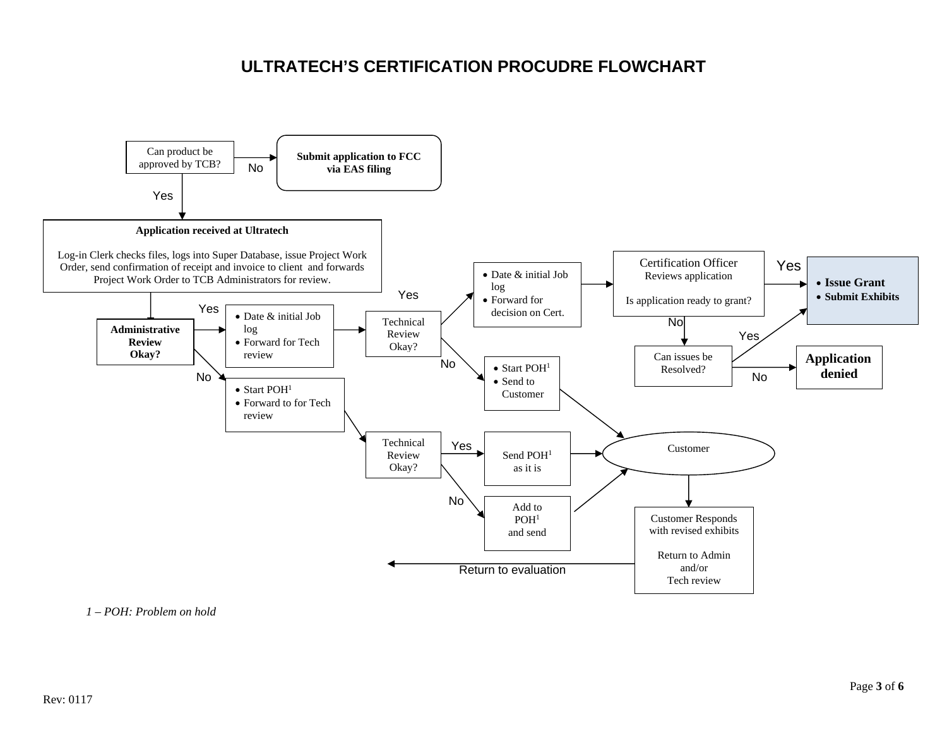## **ULTRATECH'S CERTIFICATION PROCUDRE FLOWCHART**



*1 – POH: Problem on hold*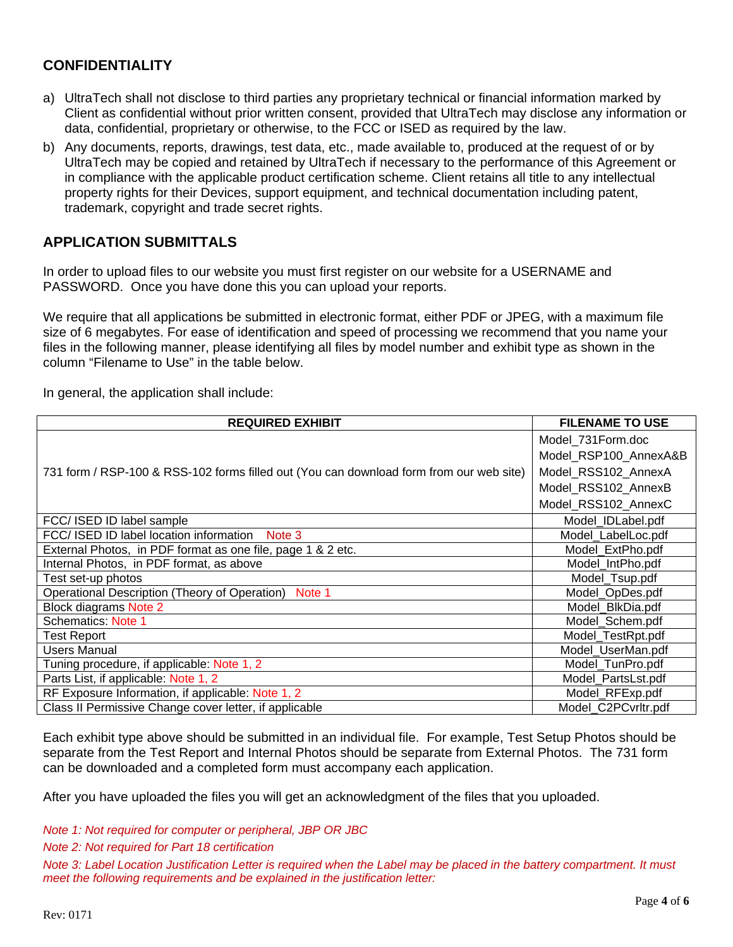#### **CONFIDENTIALITY**

- a) UltraTech shall not disclose to third parties any proprietary technical or financial information marked by Client as confidential without prior written consent, provided that UltraTech may disclose any information or data, confidential, proprietary or otherwise, to the FCC or ISED as required by the law.
- b) Any documents, reports, drawings, test data, etc., made available to, produced at the request of or by UltraTech may be copied and retained by UltraTech if necessary to the performance of this Agreement or in compliance with the applicable product certification scheme. Client retains all title to any intellectual property rights for their Devices, support equipment, and technical documentation including patent, trademark, copyright and trade secret rights.

#### **APPLICATION SUBMITTALS**

In order to upload files to our website you must first register on our website for a USERNAME and PASSWORD. Once you have done this you can upload your reports.

We require that all applications be submitted in electronic format, either PDF or JPEG, with a maximum file size of 6 megabytes. For ease of identification and speed of processing we recommend that you name your files in the following manner, please identifying all files by model number and exhibit type as shown in the column "Filename to Use" in the table below.

In general, the application shall include:

| <b>REQUIRED EXHIBIT</b>                                                                 | <b>FILENAME TO USE</b> |
|-----------------------------------------------------------------------------------------|------------------------|
|                                                                                         | Model 731 Form.doc     |
|                                                                                         | Model_RSP100_AnnexA&B  |
| 731 form / RSP-100 & RSS-102 forms filled out (You can download form from our web site) | Model RSS102 AnnexA    |
|                                                                                         | Model_RSS102_AnnexB    |
|                                                                                         | Model RSS102 AnnexC    |
| FCC/ ISED ID label sample                                                               | Model IDLabel.pdf      |
| FCC/ISED ID label location information<br>Note 3                                        | Model_LabelLoc.pdf     |
| External Photos, in PDF format as one file, page 1 & 2 etc.                             | Model ExtPho.pdf       |
| Internal Photos, in PDF format, as above                                                | Model IntPho.pdf       |
| Test set-up photos                                                                      | Model_Tsup.pdf         |
| Operational Description (Theory of Operation)<br>Note 1                                 | Model_OpDes.pdf        |
| <b>Block diagrams Note 2</b>                                                            | Model BlkDia.pdf       |
| <b>Schematics: Note 1</b>                                                               | Model_Schem.pdf        |
| <b>Test Report</b>                                                                      | Model TestRpt.pdf      |
| <b>Users Manual</b>                                                                     | Model UserMan.pdf      |
| Tuning procedure, if applicable: Note 1, 2                                              | Model_TunPro.pdf       |
| Parts List, if applicable: Note 1, 2                                                    | Model PartsLst.pdf     |
| RF Exposure Information, if applicable: Note 1, 2                                       | Model_RFExp.pdf        |
| Class II Permissive Change cover letter, if applicable                                  | Model C2PCvrltr.pdf    |

Each exhibit type above should be submitted in an individual file. For example, Test Setup Photos should be separate from the Test Report and Internal Photos should be separate from External Photos. The 731 form can be downloaded and a completed form must accompany each application.

After you have uploaded the files you will get an acknowledgment of the files that you uploaded.

*Note 1: Not required for computer or peripheral, JBP OR JBC* 

*Note 2: Not required for Part 18 certification* 

*Note 3: Label Location Justification Letter is required when the Label may be placed in the battery compartment. It must meet the following requirements and be explained in the justification letter:*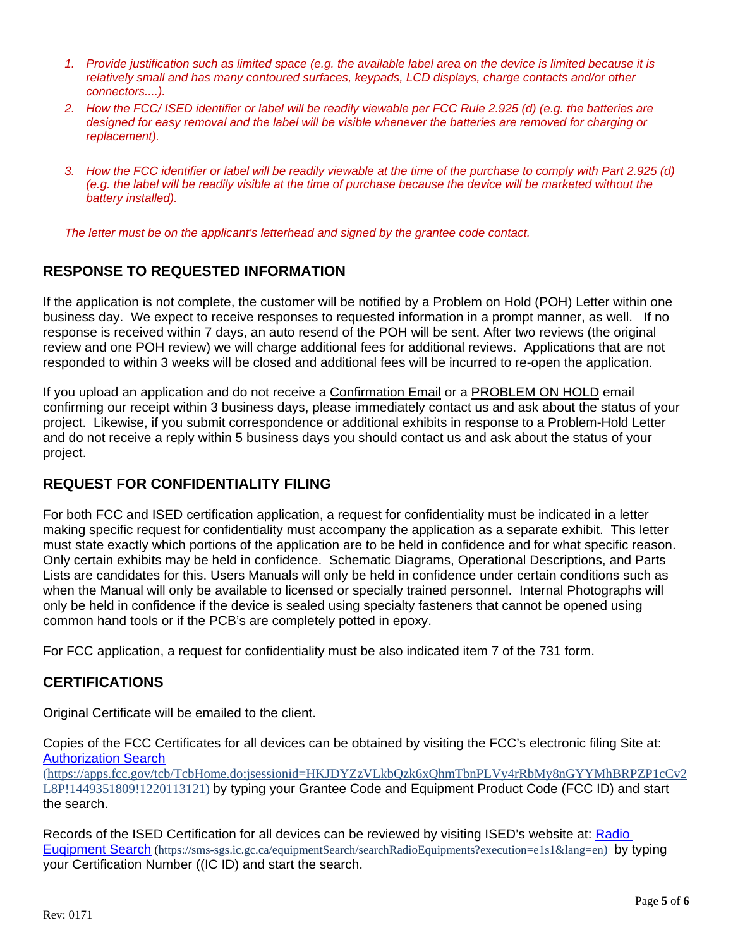- *1. Provide justification such as limited space (e.g. the available label area on the device is limited because it is relatively small and has many contoured surfaces, keypads, LCD displays, charge contacts and/or other connectors....).*
- *2. How the FCC/ ISED identifier or label will be readily viewable per FCC Rule 2.925 (d) (e.g. the batteries are designed for easy removal and the label will be visible whenever the batteries are removed for charging or replacement).*
- *3. How the FCC identifier or label will be readily viewable at the time of the purchase to comply with Part 2.925 (d) (e.g. the label will be readily visible at the time of purchase because the device will be marketed without the battery installed).*

*The letter must be on the applicant's letterhead and signed by the grantee code contact.*

#### **RESPONSE TO REQUESTED INFORMATION**

If the application is not complete, the customer will be notified by a Problem on Hold (POH) Letter within one business day. We expect to receive responses to requested information in a prompt manner, as well. If no response is received within 7 days, an auto resend of the POH will be sent. After two reviews (the original review and one POH review) we will charge additional fees for additional reviews. Applications that are not responded to within 3 weeks will be closed and additional fees will be incurred to re-open the application.

If you upload an application and do not receive a **Confirmation Email** or a **PROBLEM ON HOLD** email confirming our receipt within 3 business days, please immediately contact us and ask about the status of your project. Likewise, if you submit correspondence or additional exhibits in response to a Problem-Hold Letter and do not receive a reply within 5 business days you should contact us and ask about the status of your project.

#### **REQUEST FOR CONFIDENTIALITY FILING**

For both FCC and ISED certification application, a request for confidentiality must be indicated in a letter making specific request for confidentiality must accompany the application as a separate exhibit. This letter must state exactly which portions of the application are to be held in confidence and for what specific reason. Only certain exhibits may be held in confidence. Schematic Diagrams, Operational Descriptions, and Parts Lists are candidates for this. Users Manuals will only be held in confidence under certain conditions such as when the Manual will only be available to licensed or specially trained personnel. Internal Photographs will only be held in confidence if the device is sealed using specialty fasteners that cannot be opened using common hand tools or if the PCB's are completely potted in epoxy.

For FCC application, a request for confidentiality must be also indicated item 7 of the 731 form.

#### **CERTIFICATIONS**

Original Certificate will be emailed to the client.

Copies of the FCC Certificates for all devices can be obtained by visiting the FCC's electronic filing Site at: Authorization Search

(https://apps.fcc.gov/tcb/TcbHome.do;jsessionid=HKJDYZzVLkbQzk6xQhmTbnPLVy4rRbMy8nGYYMhBRPZP1cCv2 L8P!1449351809!1220113121) by typing your Grantee Code and Equipment Product Code (FCC ID) and start the search.

Records of the ISED Certification for all devices can be reviewed by visiting ISED's website at: Radio Euqipment Search (https://sms-sgs.ic.gc.ca/equipmentSearch/searchRadioEquipments?execution=e1s1&lang=en) by typing your Certification Number ((IC ID) and start the search.